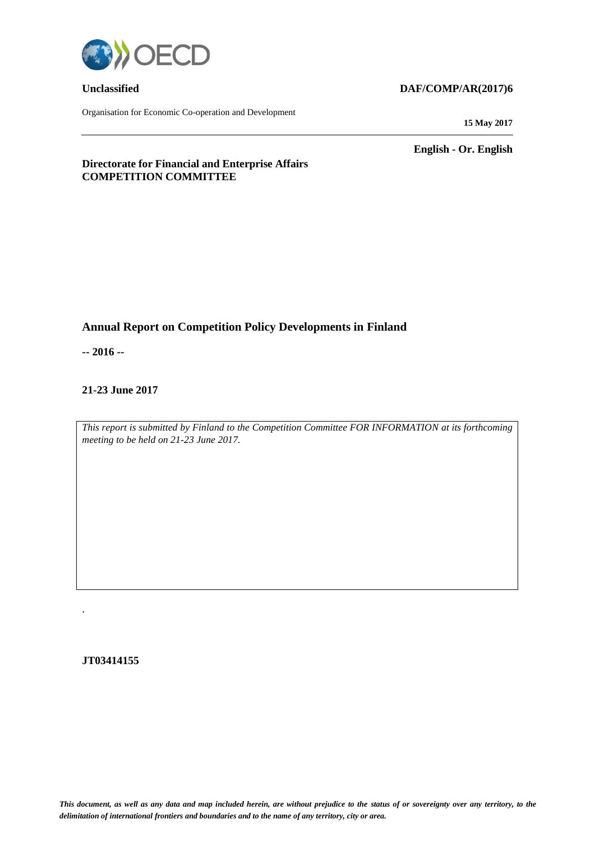

Organisation for Economic Co-operation and Development

#### **Unclassified DAF/COMP/AR(2017)6**

**15 May 2017**

**English - Or. English**

#### **Directorate for Financial and Enterprise Affairs COMPETITION COMMITTEE**

### **Annual Report on Competition Policy Developments in Finland**

**-- 2016 --**

#### **21-23 June 2017**

*This report is submitted by Finland to the Competition Committee FOR INFORMATION at its forthcoming meeting to be held on 21-23 June 2017.* 

#### **JT03414155**

.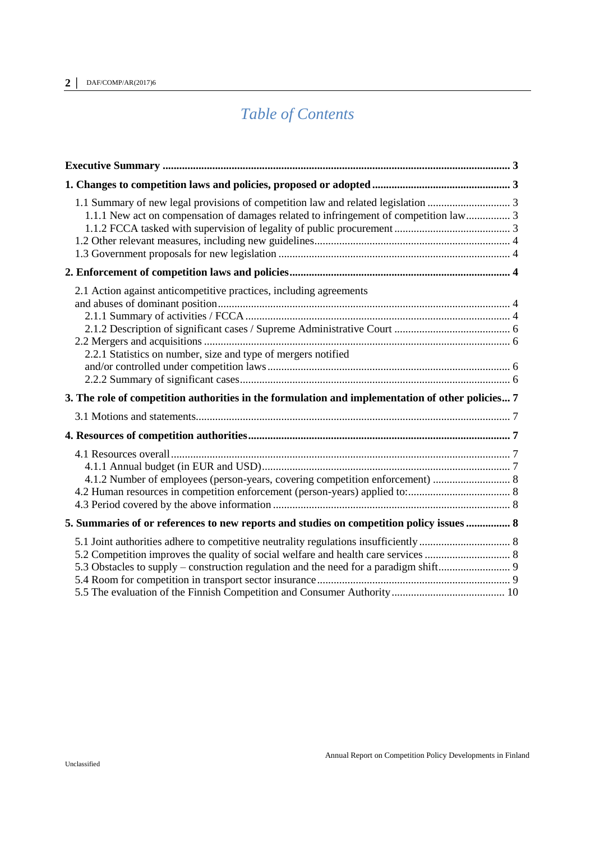# *Table of Contents*

| 2.1 Action against anticompetitive practices, including agreements<br>2.2.1 Statistics on number, size and type of mergers notified |  |
|-------------------------------------------------------------------------------------------------------------------------------------|--|
| 3. The role of competition authorities in the formulation and implementation of other policies 7                                    |  |
|                                                                                                                                     |  |
|                                                                                                                                     |  |
| 4.1.2 Number of employees (person-years, covering competition enforcement)  8                                                       |  |
| 5. Summaries of or references to new reports and studies on competition policy issues  8                                            |  |
|                                                                                                                                     |  |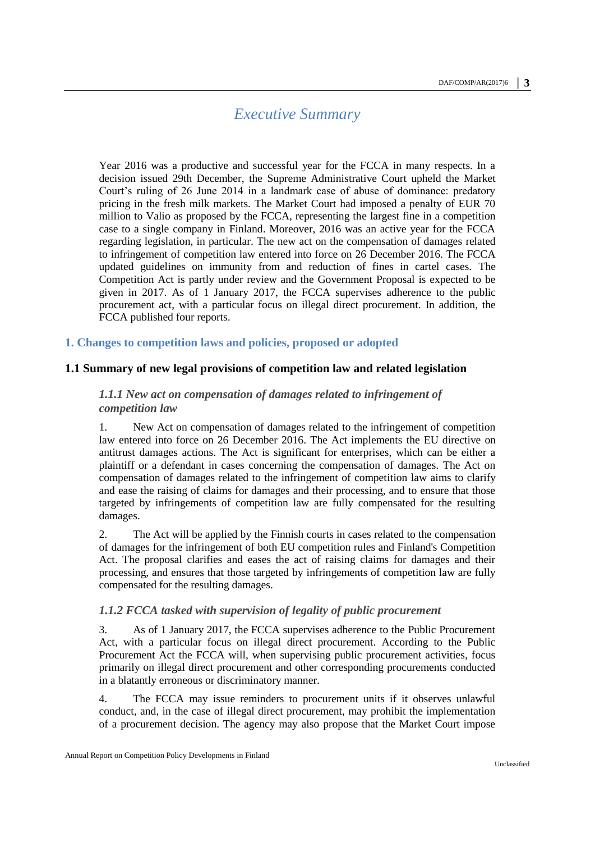## *Executive Summary*

<span id="page-2-0"></span>Year 2016 was a productive and successful year for the FCCA in many respects. In a decision issued 29th December, the Supreme Administrative Court upheld the Market Court's ruling of 26 June 2014 in a landmark case of abuse of dominance: predatory pricing in the fresh milk markets. The Market Court had imposed a penalty of EUR 70 million to Valio as proposed by the FCCA, representing the largest fine in a competition case to a single company in Finland. Moreover, 2016 was an active year for the FCCA regarding legislation, in particular. The new act on the compensation of damages related to infringement of competition law entered into force on 26 December 2016. The FCCA updated guidelines on immunity from and reduction of fines in cartel cases. The Competition Act is partly under review and the Government Proposal is expected to be given in 2017. As of 1 January 2017, the FCCA supervises adherence to the public procurement act, with a particular focus on illegal direct procurement. In addition, the FCCA published four reports.

#### <span id="page-2-1"></span>**1. Changes to competition laws and policies, proposed or adopted**

#### <span id="page-2-3"></span><span id="page-2-2"></span>**1.1 Summary of new legal provisions of competition law and related legislation**

#### *1.1.1 New act on compensation of damages related to infringement of competition law*

1. New Act on compensation of damages related to the infringement of competition law entered into force on 26 December 2016. The Act implements the EU directive on antitrust damages actions. The Act is significant for enterprises, which can be either a plaintiff or a defendant in cases concerning the compensation of damages. The Act on compensation of damages related to the infringement of competition law aims to clarify and ease the raising of claims for damages and their processing, and to ensure that those targeted by infringements of competition law are fully compensated for the resulting damages.

2. The Act will be applied by the Finnish courts in cases related to the compensation of damages for the infringement of both EU competition rules and Finland's Competition Act. The proposal clarifies and eases the act of raising claims for damages and their processing, and ensures that those targeted by infringements of competition law are fully compensated for the resulting damages.

#### <span id="page-2-4"></span>*1.1.2 FCCA tasked with supervision of legality of public procurement*

3. As of 1 January 2017, the FCCA supervises adherence to the Public Procurement Act, with a particular focus on illegal direct procurement. According to the Public Procurement Act the FCCA will, when supervising public procurement activities, focus primarily on illegal direct procurement and other corresponding procurements conducted in a blatantly erroneous or discriminatory manner.

4. The FCCA may issue reminders to procurement units if it observes unlawful conduct, and, in the case of illegal direct procurement, may prohibit the implementation of a procurement decision. The agency may also propose that the Market Court impose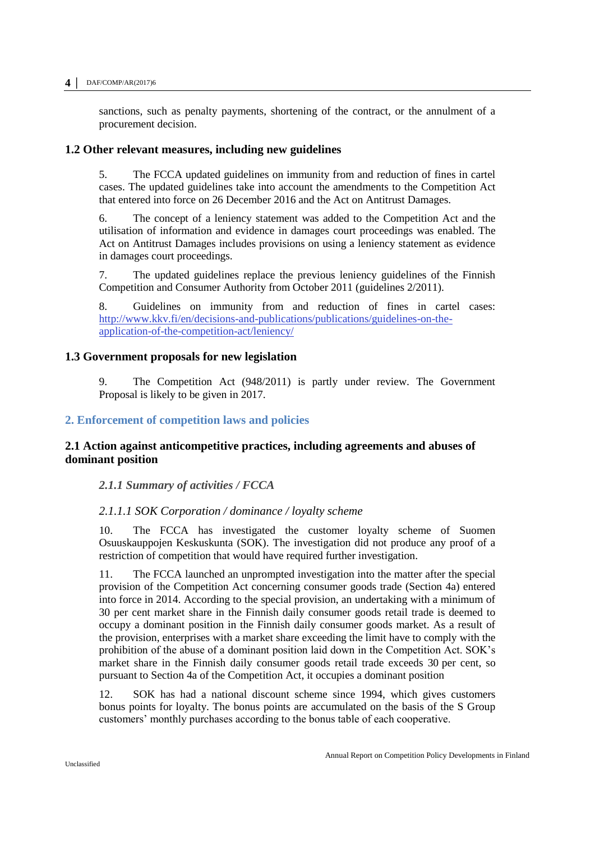#### **4 │** DAF/COMP/AR(2017)6

sanctions, such as penalty payments, shortening of the contract, or the annulment of a procurement decision.

#### <span id="page-3-0"></span>**1.2 Other relevant measures, including new guidelines**

5. The FCCA updated guidelines on immunity from and reduction of fines in cartel cases. The updated guidelines take into account the amendments to the Competition Act that entered into force on 26 December 2016 and the Act on Antitrust Damages.

6. The concept of a leniency statement was added to the Competition Act and the utilisation of information and evidence in damages court proceedings was enabled. The Act on Antitrust Damages includes provisions on using a leniency statement as evidence in damages court proceedings.

7. The updated guidelines replace the previous leniency guidelines of the Finnish Competition and Consumer Authority from October 2011 (guidelines 2/2011).

8. Guidelines on immunity from and reduction of fines in cartel cases: [http://www.kkv.fi/en/decisions-and-publications/publications/guidelines-on-the](http://www.kkv.fi/en/decisions-and-publications/publications/guidelines-on-the-application-of-the-competition-act/leniency/)[application-of-the-competition-act/leniency/](http://www.kkv.fi/en/decisions-and-publications/publications/guidelines-on-the-application-of-the-competition-act/leniency/)

#### <span id="page-3-1"></span>**1.3 Government proposals for new legislation**

9. The Competition Act (948/2011) is partly under review. The Government Proposal is likely to be given in 2017.

#### <span id="page-3-2"></span>**2. Enforcement of competition laws and policies**

#### <span id="page-3-3"></span>**2.1 Action against anticompetitive practices, including agreements and abuses of dominant position**

<span id="page-3-4"></span>*2.1.1 Summary of activities / FCCA* 

#### *2.1.1.1 SOK Corporation / dominance / loyalty scheme*

10. The FCCA has investigated the customer loyalty scheme of Suomen Osuuskauppojen Keskuskunta (SOK). The investigation did not produce any proof of a restriction of competition that would have required further investigation.

11. The FCCA launched an unprompted investigation into the matter after the special provision of the Competition Act concerning consumer goods trade (Section 4a) entered into force in 2014. According to the special provision, an undertaking with a minimum of 30 per cent market share in the Finnish daily consumer goods retail trade is deemed to occupy a dominant position in the Finnish daily consumer goods market. As a result of the provision, enterprises with a market share exceeding the limit have to comply with the prohibition of the abuse of a dominant position laid down in the Competition Act. SOK's market share in the Finnish daily consumer goods retail trade exceeds 30 per cent, so pursuant to Section 4a of the Competition Act, it occupies a dominant position

12. SOK has had a national discount scheme since 1994, which gives customers bonus points for loyalty. The bonus points are accumulated on the basis of the S Group customers' monthly purchases according to the bonus table of each cooperative.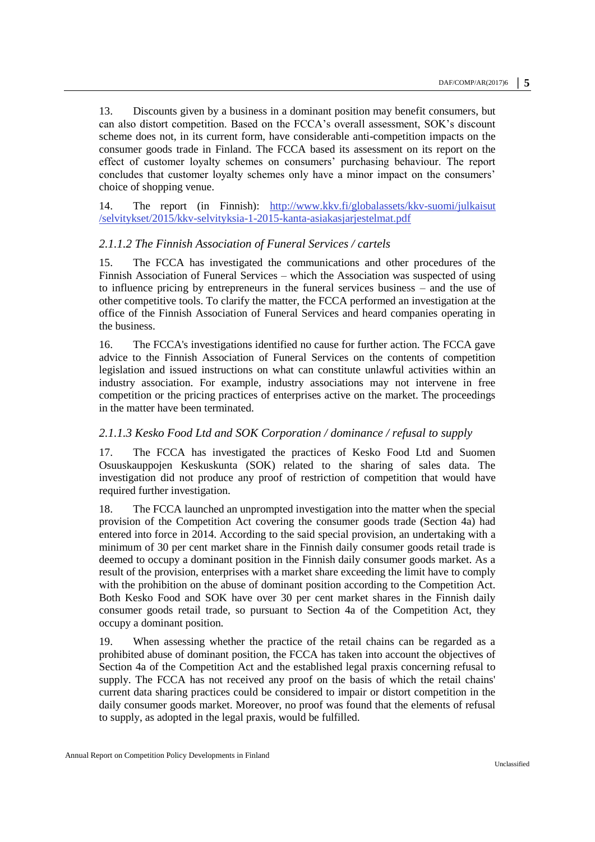13. Discounts given by a business in a dominant position may benefit consumers, but can also distort competition. Based on the FCCA's overall assessment, SOK's discount scheme does not, in its current form, have considerable anti-competition impacts on the consumer goods trade in Finland. The FCCA based its assessment on its report on the effect of customer loyalty schemes on consumers' purchasing behaviour. The report concludes that customer loyalty schemes only have a minor impact on the consumers' choice of shopping venue.

14. The report (in Finnish): [http://www.kkv.fi/globalassets/kkv-suomi/julkaisut](http://www.kkv.fi/globalassets/kkv-suomi/julkaisut/selvitykset/2015/kkv-selvityksia-1-2015-kanta-asiakasjarjestelmat.pdf) [/selvitykset/2015/kkv-selvityksia-1-2015-kanta-asiakasjarjestelmat.pdf](http://www.kkv.fi/globalassets/kkv-suomi/julkaisut/selvitykset/2015/kkv-selvityksia-1-2015-kanta-asiakasjarjestelmat.pdf)

#### *2.1.1.2 The Finnish Association of Funeral Services / cartels*

15. The FCCA has investigated the communications and other procedures of the Finnish Association of Funeral Services – which the Association was suspected of using to influence pricing by entrepreneurs in the funeral services business – and the use of other competitive tools. To clarify the matter, the FCCA performed an investigation at the office of the Finnish Association of Funeral Services and heard companies operating in the business.

16. The FCCA's investigations identified no cause for further action. The FCCA gave advice to the Finnish Association of Funeral Services on the contents of competition legislation and issued instructions on what can constitute unlawful activities within an industry association. For example, industry associations may not intervene in free competition or the pricing practices of enterprises active on the market. The proceedings in the matter have been terminated.

#### *2.1.1.3 Kesko Food Ltd and SOK Corporation / dominance / refusal to supply*

17. The FCCA has investigated the practices of Kesko Food Ltd and Suomen Osuuskauppojen Keskuskunta (SOK) related to the sharing of sales data. The investigation did not produce any proof of restriction of competition that would have required further investigation.

18. The FCCA launched an unprompted investigation into the matter when the special provision of the Competition Act covering the consumer goods trade (Section 4a) had entered into force in 2014. According to the said special provision, an undertaking with a minimum of 30 per cent market share in the Finnish daily consumer goods retail trade is deemed to occupy a dominant position in the Finnish daily consumer goods market. As a result of the provision, enterprises with a market share exceeding the limit have to comply with the prohibition on the abuse of dominant position according to the Competition Act. Both Kesko Food and SOK have over 30 per cent market shares in the Finnish daily consumer goods retail trade, so pursuant to Section 4a of the Competition Act, they occupy a dominant position.

19. When assessing whether the practice of the retail chains can be regarded as a prohibited abuse of dominant position, the FCCA has taken into account the objectives of Section 4a of the Competition Act and the established legal praxis concerning refusal to supply. The FCCA has not received any proof on the basis of which the retail chains' current data sharing practices could be considered to impair or distort competition in the daily consumer goods market. Moreover, no proof was found that the elements of refusal to supply, as adopted in the legal praxis, would be fulfilled.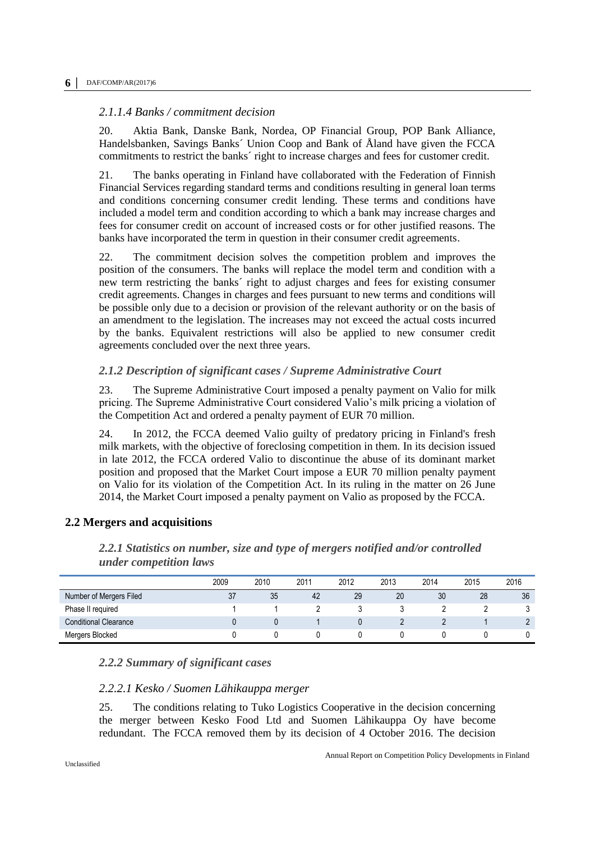#### *2.1.1.4 Banks / commitment decision*

20. Aktia Bank, Danske Bank, Nordea, OP Financial Group, POP Bank Alliance, Handelsbanken, Savings Banks´ Union Coop and Bank of Åland have given the FCCA commitments to restrict the banks´ right to increase charges and fees for customer credit.

21. The banks operating in Finland have collaborated with the Federation of Finnish Financial Services regarding standard terms and conditions resulting in general loan terms and conditions concerning consumer credit lending. These terms and conditions have included a model term and condition according to which a bank may increase charges and fees for consumer credit on account of increased costs or for other justified reasons. The banks have incorporated the term in question in their consumer credit agreements.

22. The commitment decision solves the competition problem and improves the position of the consumers. The banks will replace the model term and condition with a new term restricting the banks´ right to adjust charges and fees for existing consumer credit agreements. Changes in charges and fees pursuant to new terms and conditions will be possible only due to a decision or provision of the relevant authority or on the basis of an amendment to the legislation. The increases may not exceed the actual costs incurred by the banks. Equivalent restrictions will also be applied to new consumer credit agreements concluded over the next three years.

#### <span id="page-5-0"></span>*2.1.2 Description of significant cases / Supreme Administrative Court*

23. The Supreme Administrative Court imposed a penalty payment on Valio for milk pricing. The Supreme Administrative Court considered Valio's milk pricing a violation of the Competition Act and ordered a penalty payment of EUR 70 million.

24. In 2012, the FCCA deemed Valio guilty of predatory pricing in Finland's fresh milk markets, with the objective of foreclosing competition in them. In its decision issued in late 2012, the FCCA ordered Valio to discontinue the abuse of its dominant market position and proposed that the Market Court impose a EUR 70 million penalty payment on Valio for its violation of the Competition Act. In its ruling in the matter on 26 June 2014, the Market Court imposed a penalty payment on Valio as proposed by the FCCA.

#### <span id="page-5-2"></span><span id="page-5-1"></span>**2.2 Mergers and acquisitions**

|                              | 2009 | 2010 | 2011 | 2012 | 2013 | 2014 | 2015 | 2016 |
|------------------------------|------|------|------|------|------|------|------|------|
| Number of Mergers Filed      | 37   | 35   | 42   | 29   | 20   | 30   | 28   | 36   |
| Phase II required            |      |      |      |      |      |      |      |      |
| <b>Conditional Clearance</b> |      |      |      |      |      |      |      | L    |
| Mergers Blocked              |      |      |      |      |      |      |      |      |

*2.2.1 Statistics on number, size and type of mergers notified and/or controlled under competition laws*

#### <span id="page-5-3"></span>*2.2.2 Summary of significant cases*

#### *2.2.2.1 Kesko / Suomen Lähikauppa merger*

25. The conditions relating to Tuko Logistics Cooperative in the decision concerning the merger between Kesko Food Ltd and Suomen Lähikauppa Oy have become redundant. The FCCA removed them by its decision of 4 October 2016. The decision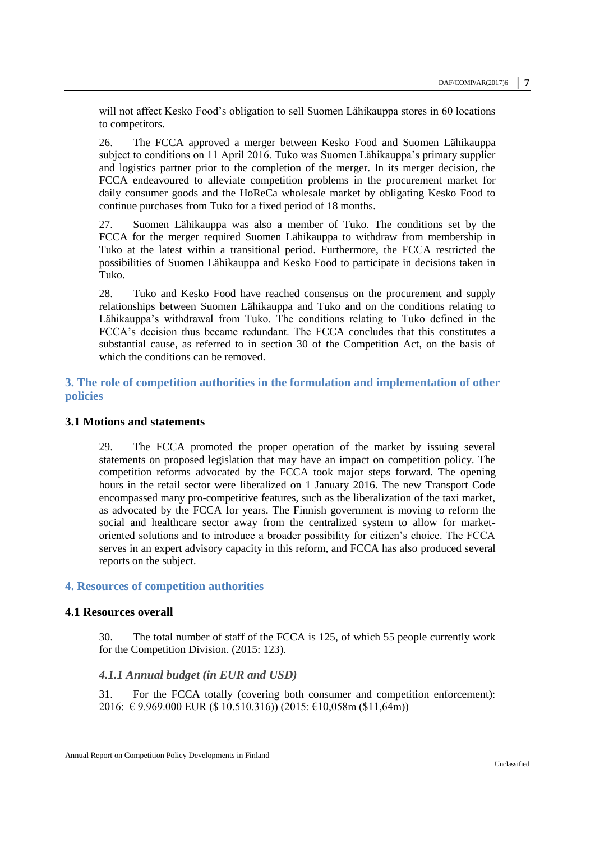will not affect Kesko Food's obligation to sell Suomen Lähikauppa stores in 60 locations to competitors.

26. The FCCA approved a merger between Kesko Food and Suomen Lähikauppa subject to conditions on 11 April 2016. Tuko was Suomen Lähikauppa's primary supplier and logistics partner prior to the completion of the merger. In its merger decision, the FCCA endeavoured to alleviate competition problems in the procurement market for daily consumer goods and the HoReCa wholesale market by obligating Kesko Food to continue purchases from Tuko for a fixed period of 18 months.

27. Suomen Lähikauppa was also a member of Tuko. The conditions set by the FCCA for the merger required Suomen Lähikauppa to withdraw from membership in Tuko at the latest within a transitional period. Furthermore, the FCCA restricted the possibilities of Suomen Lähikauppa and Kesko Food to participate in decisions taken in Tuko.

28. Tuko and Kesko Food have reached consensus on the procurement and supply relationships between Suomen Lähikauppa and Tuko and on the conditions relating to Lähikauppa's withdrawal from Tuko. The conditions relating to Tuko defined in the FCCA's decision thus became redundant. The FCCA concludes that this constitutes a substantial cause, as referred to in section 30 of the Competition Act, on the basis of which the conditions can be removed.

#### <span id="page-6-0"></span>**3. The role of competition authorities in the formulation and implementation of other policies**

#### <span id="page-6-1"></span>**3.1 Motions and statements**

29. The FCCA promoted the proper operation of the market by issuing several statements on proposed legislation that may have an impact on competition policy. The competition reforms advocated by the FCCA took major steps forward. The opening hours in the retail sector were liberalized on 1 January 2016. The new Transport Code encompassed many pro-competitive features, such as the liberalization of the taxi market, as advocated by the FCCA for years. The Finnish government is moving to reform the social and healthcare sector away from the centralized system to allow for marketoriented solutions and to introduce a broader possibility for citizen's choice. The FCCA serves in an expert advisory capacity in this reform, and FCCA has also produced several reports on the subject.

#### <span id="page-6-2"></span>**4. Resources of competition authorities**

#### <span id="page-6-3"></span>**4.1 Resources overall**

30. The total number of staff of the FCCA is 125, of which 55 people currently work for the Competition Division. (2015: 123).

#### <span id="page-6-4"></span>*4.1.1 Annual budget (in EUR and USD)*

31. For the FCCA totally (covering both consumer and competition enforcement): 2016: € 9.969.000 EUR (\$ 10.510.316)) (2015: €10,058m (\$11,64m))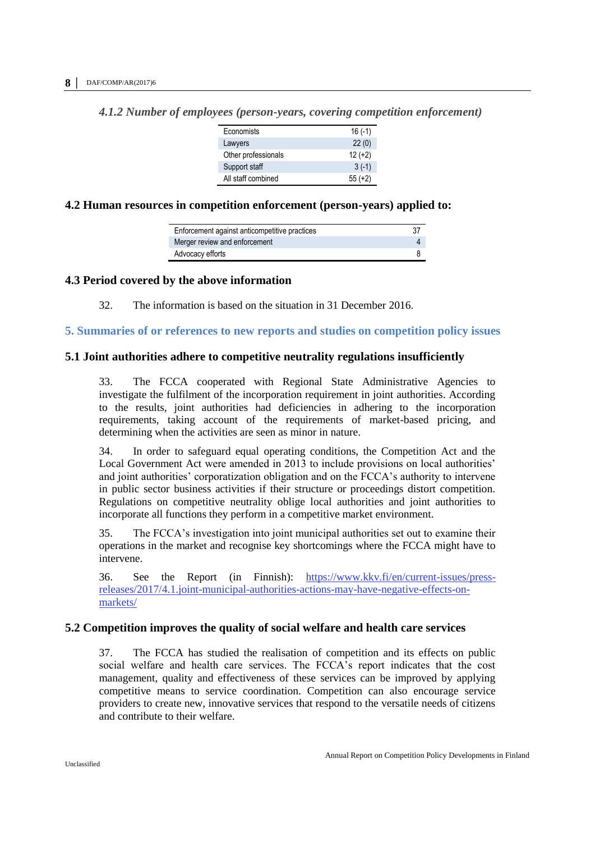| Economists          | $16(-1)$  |
|---------------------|-----------|
| Lawyers             | 22(0)     |
| Other professionals | $12 (+2)$ |
| Support staff       | $3(-1)$   |
| All staff combined  | $55(+2)$  |

<span id="page-7-0"></span>*4.1.2 Number of employees (person-years, covering competition enforcement)*

#### <span id="page-7-1"></span>**4.2 Human resources in competition enforcement (person-years) applied to:**

| Enforcement against anticompetitive practices |  |
|-----------------------------------------------|--|
| Merger review and enforcement                 |  |
| Advocacy efforts                              |  |

#### <span id="page-7-2"></span>**4.3 Period covered by the above information**

32. The information is based on the situation in 31 December 2016.

<span id="page-7-3"></span>**5. Summaries of or references to new reports and studies on competition policy issues**

#### <span id="page-7-4"></span>**5.1 Joint authorities adhere to competitive neutrality regulations insufficiently**

33. The FCCA cooperated with Regional State Administrative Agencies to investigate the fulfilment of the incorporation requirement in joint authorities. According to the results, joint authorities had deficiencies in adhering to the incorporation requirements, taking account of the requirements of market-based pricing, and determining when the activities are seen as minor in nature.

34. In order to safeguard equal operating conditions, the Competition Act and the Local Government Act were amended in 2013 to include provisions on local authorities' and joint authorities' corporatization obligation and on the FCCA's authority to intervene in public sector business activities if their structure or proceedings distort competition. Regulations on competitive neutrality oblige local authorities and joint authorities to incorporate all functions they perform in a competitive market environment.

35. The FCCA's investigation into joint municipal authorities set out to examine their operations in the market and recognise key shortcomings where the FCCA might have to intervene.

36. See the Report (in Finnish): [https://www.kkv.fi/en/current-issues/press](https://www.kkv.fi/en/current-issues/press-releases/2017/4.1.joint-municipal-authorities-actions-may-have-negative-effects-on-markets/)[releases/2017/4.1.joint-municipal-authorities-actions-may-have-negative-effects-on](https://www.kkv.fi/en/current-issues/press-releases/2017/4.1.joint-municipal-authorities-actions-may-have-negative-effects-on-markets/)[markets/](https://www.kkv.fi/en/current-issues/press-releases/2017/4.1.joint-municipal-authorities-actions-may-have-negative-effects-on-markets/)

#### <span id="page-7-5"></span>**5.2 Competition improves the quality of social welfare and health care services**

37. The FCCA has studied the realisation of competition and its effects on public social welfare and health care services. The FCCA's report indicates that the cost management, quality and effectiveness of these services can be improved by applying competitive means to service coordination. Competition can also encourage service providers to create new, innovative services that respond to the versatile needs of citizens and contribute to their welfare.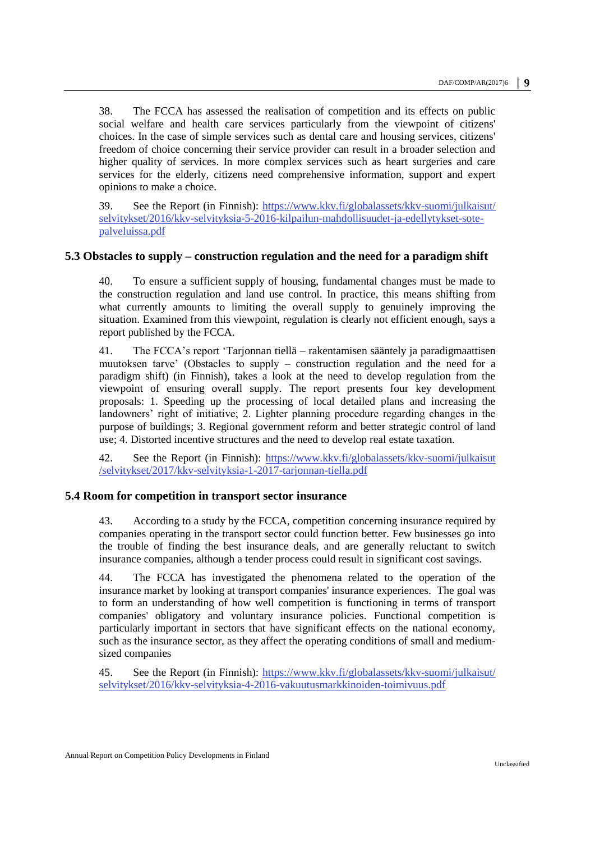38. The FCCA has assessed the realisation of competition and its effects on public social welfare and health care services particularly from the viewpoint of citizens' choices. In the case of simple services such as dental care and housing services, citizens' freedom of choice concerning their service provider can result in a broader selection and higher quality of services. In more complex services such as heart surgeries and care services for the elderly, citizens need comprehensive information, support and expert opinions to make a choice.

39. See the Report (in Finnish): [https://www.kkv.fi/globalassets/kkv-suomi/julkaisut/](https://www.kkv.fi/globalassets/kkv-suomi/julkaisut/selvitykset/2016/kkv-selvityksia-5-2016-kilpailun-mahdollisuudet-ja-edellytykset-sote-palveluissa.pdf) [selvitykset/2016/kkv-selvityksia-5-2016-kilpailun-mahdollisuudet-ja-edellytykset-sote](https://www.kkv.fi/globalassets/kkv-suomi/julkaisut/selvitykset/2016/kkv-selvityksia-5-2016-kilpailun-mahdollisuudet-ja-edellytykset-sote-palveluissa.pdf)[palveluissa.pdf](https://www.kkv.fi/globalassets/kkv-suomi/julkaisut/selvitykset/2016/kkv-selvityksia-5-2016-kilpailun-mahdollisuudet-ja-edellytykset-sote-palveluissa.pdf)

#### <span id="page-8-0"></span>**5.3 Obstacles to supply – construction regulation and the need for a paradigm shift**

40. To ensure a sufficient supply of housing, fundamental changes must be made to the construction regulation and land use control. In practice, this means shifting from what currently amounts to limiting the overall supply to genuinely improving the situation. Examined from this viewpoint, regulation is clearly not efficient enough, says a report published by the FCCA.

41. The FCCA's report 'Tarjonnan tiellä – rakentamisen sääntely ja paradigmaattisen muutoksen tarve' (Obstacles to supply – construction regulation and the need for a paradigm shift) (in Finnish), takes a look at the need to develop regulation from the viewpoint of ensuring overall supply. The report presents four key development proposals: 1. Speeding up the processing of local detailed plans and increasing the landowners' right of initiative; 2. Lighter planning procedure regarding changes in the purpose of buildings; 3. Regional government reform and better strategic control of land use; 4. Distorted incentive structures and the need to develop real estate taxation.

42. See the Report (in Finnish): [https://www.kkv.fi/globalassets/kkv-suomi/julkaisut](https://www.kkv.fi/globalassets/kkv-suomi/julkaisut/selvitykset/2017/kkv-selvityksia-1-2017-tarjonnan-tiella.pdf) [/selvitykset/2017/kkv-selvityksia-1-2017-tarjonnan-tiella.pdf](https://www.kkv.fi/globalassets/kkv-suomi/julkaisut/selvitykset/2017/kkv-selvityksia-1-2017-tarjonnan-tiella.pdf)

#### <span id="page-8-1"></span>**5.4 Room for competition in transport sector insurance**

43. According to a study by the FCCA, competition concerning insurance required by companies operating in the transport sector could function better. Few businesses go into the trouble of finding the best insurance deals, and are generally reluctant to switch insurance companies, although a tender process could result in significant cost savings.

44. The FCCA has investigated the phenomena related to the operation of the insurance market by looking at transport companies' insurance experiences. The goal was to form an understanding of how well competition is functioning in terms of transport companies' obligatory and voluntary insurance policies. Functional competition is particularly important in sectors that have significant effects on the national economy, such as the insurance sector, as they affect the operating conditions of small and mediumsized companies

45. See the Report (in Finnish): [https://www.kkv.fi/globalassets/kkv-suomi/julkaisut/](https://www.kkv.fi/globalassets/kkv-suomi/julkaisut/selvitykset/2016/kkv-selvityksia-4-2016-vakuutusmarkkinoiden-toimivuus.pdf) [selvitykset/2016/kkv-selvityksia-4-2016-vakuutusmarkkinoiden-toimivuus.pdf](https://www.kkv.fi/globalassets/kkv-suomi/julkaisut/selvitykset/2016/kkv-selvityksia-4-2016-vakuutusmarkkinoiden-toimivuus.pdf)